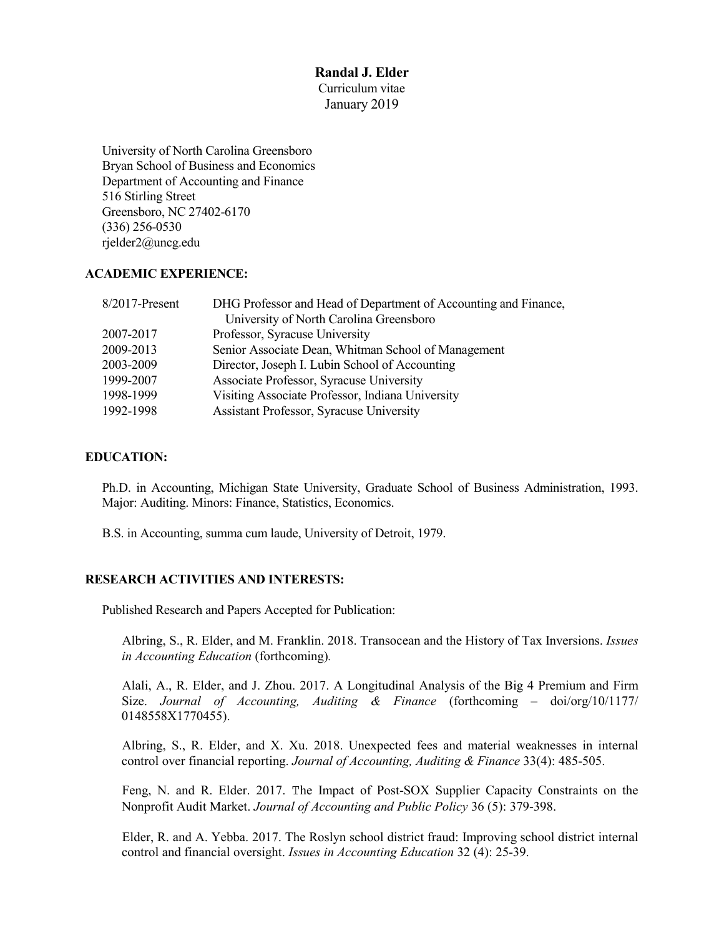#### **Randal J. Elder** Curriculum vitae

January 2019

University of North Carolina Greensboro Bryan School of Business and Economics Department of Accounting and Finance 516 Stirling Street Greensboro, NC 27402-6170 (336) 256-0530 rjelder2@uncg.edu

## **ACADEMIC EXPERIENCE:**

| DHG Professor and Head of Department of Accounting and Finance, |
|-----------------------------------------------------------------|
| University of North Carolina Greensboro                         |
| Professor, Syracuse University                                  |
| Senior Associate Dean, Whitman School of Management             |
| Director, Joseph I. Lubin School of Accounting                  |
| Associate Professor, Syracuse University                        |
| Visiting Associate Professor, Indiana University                |
| <b>Assistant Professor, Syracuse University</b>                 |
|                                                                 |

# **EDUCATION:**

Ph.D. in Accounting, Michigan State University, Graduate School of Business Administration, 1993. Major: Auditing. Minors: Finance, Statistics, Economics.

B.S. in Accounting, summa cum laude, University of Detroit, 1979.

# **RESEARCH ACTIVITIES AND INTERESTS:**

Published Research and Papers Accepted for Publication:

Albring, S., R. Elder, and M. Franklin. 2018. Transocean and the History of Tax Inversions. *Issues in Accounting Education* (forthcoming)*.*

Alali, A., R. Elder, and J. Zhou. 2017. A Longitudinal Analysis of the Big 4 Premium and Firm Size. *Journal of Accounting, Auditing & Finance* (forthcoming – doi/org/10/1177/ 0148558X1770455).

Albring, S., R. Elder, and X. Xu. 2018. Unexpected fees and material weaknesses in internal control over financial reporting. *Journal of Accounting, Auditing & Finance* 33(4): 485-505.

Feng, N. and R. Elder. 2017. The Impact of Post-SOX Supplier Capacity Constraints on the Nonprofit Audit Market. *Journal of Accounting and Public Policy* 36 (5): 379-398.

Elder, R. and A. Yebba. 2017. The Roslyn school district fraud: Improving school district internal control and financial oversight. *Issues in Accounting Education* 32 (4): 25-39.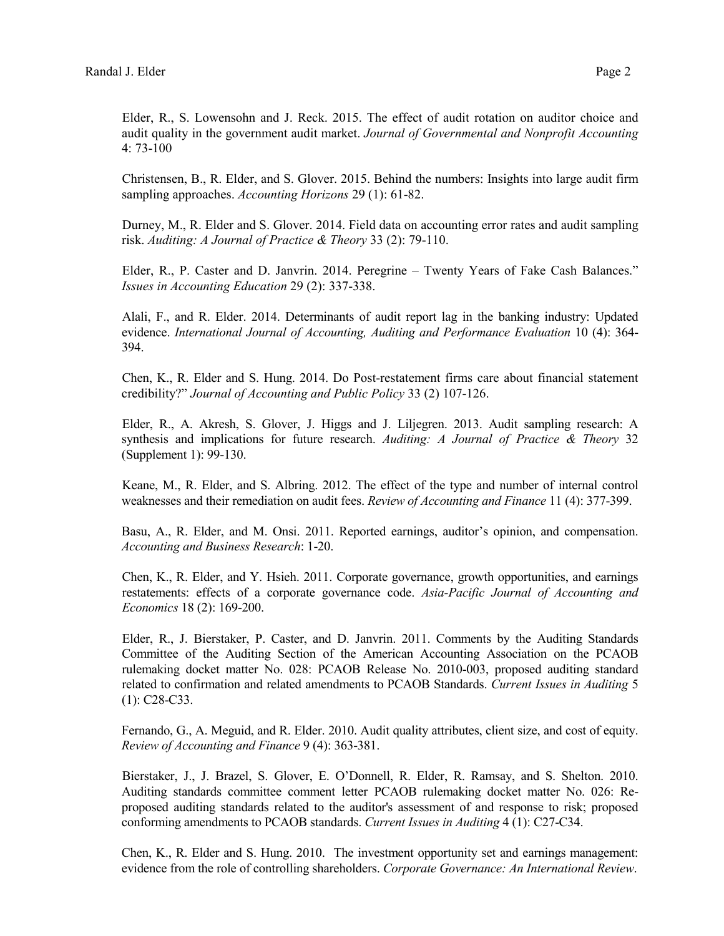Elder, R., S. Lowensohn and J. Reck. 2015. The effect of audit rotation on auditor choice and audit quality in the government audit market. *Journal of Governmental and Nonprofit Accounting* 4: 73-100

Christensen, B., R. Elder, and S. Glover. 2015. Behind the numbers: Insights into large audit firm sampling approaches. *Accounting Horizons* 29 (1): 61-82.

Durney, M., R. Elder and S. Glover. 2014. Field data on accounting error rates and audit sampling risk. *Auditing: A Journal of Practice & Theory* 33 (2): 79-110.

Elder, R., P. Caster and D. Janvrin. 2014. Peregrine – Twenty Years of Fake Cash Balances." *Issues in Accounting Education* 29 (2): 337-338.

Alali, F., and R. Elder. 2014. Determinants of audit report lag in the banking industry: Updated evidence. *International Journal of Accounting, Auditing and Performance Evaluation* 10 (4): 364- 394.

Chen, K., R. Elder and S. Hung. 2014. Do Post-restatement firms care about financial statement credibility?" *Journal of Accounting and Public Policy* 33 (2) 107-126.

Elder, R., A. Akresh, S. Glover, J. Higgs and J. Liljegren. 2013. Audit sampling research: A synthesis and implications for future research. *Auditing: A Journal of Practice & Theory* 32 (Supplement 1): 99-130.

Keane, M., R. Elder, and S. Albring. 2012. The effect of the type and number of internal control weaknesses and their remediation on audit fees. *Review of Accounting and Finance* 11 (4): 377-399.

Basu, A., R. Elder, and M. Onsi. 2011. Reported earnings, auditor's opinion, and compensation. *Accounting and Business Research*: 1-20.

Chen, K., R. Elder, and Y. Hsieh. 2011. Corporate governance, growth opportunities, and earnings restatements: effects of a corporate governance code. *Asia-Pacific Journal of Accounting and Economics* 18 (2): 169-200.

Elder, R., J. Bierstaker, P. Caster, and D. Janvrin. 2011. Comments by the Auditing Standards Committee of the Auditing Section of the American Accounting Association on the PCAOB rulemaking docket matter No. 028: PCAOB Release No. 2010-003, proposed auditing standard related to confirmation and related amendments to PCAOB Standards. *Current Issues in Auditing* 5 (1): C28-C33.

Fernando, G., A. Meguid, and R. Elder. 2010. Audit quality attributes, client size, and cost of equity. *Review of Accounting and Finance* 9 (4): 363-381.

Bierstaker, J., J. Brazel, S. Glover, E. O'Donnell, R. Elder, R. Ramsay, and S. Shelton. 2010. Auditing standards committee comment letter PCAOB rulemaking docket matter No. 026: Reproposed auditing standards related to the auditor's assessment of and response to risk; proposed conforming amendments to PCAOB standards. *Current Issues in Auditing* 4 (1): C27-C34.

Chen, K., R. Elder and S. Hung. 2010. The investment opportunity set and earnings management: evidence from the role of controlling shareholders. *Corporate Governance: An International Review*.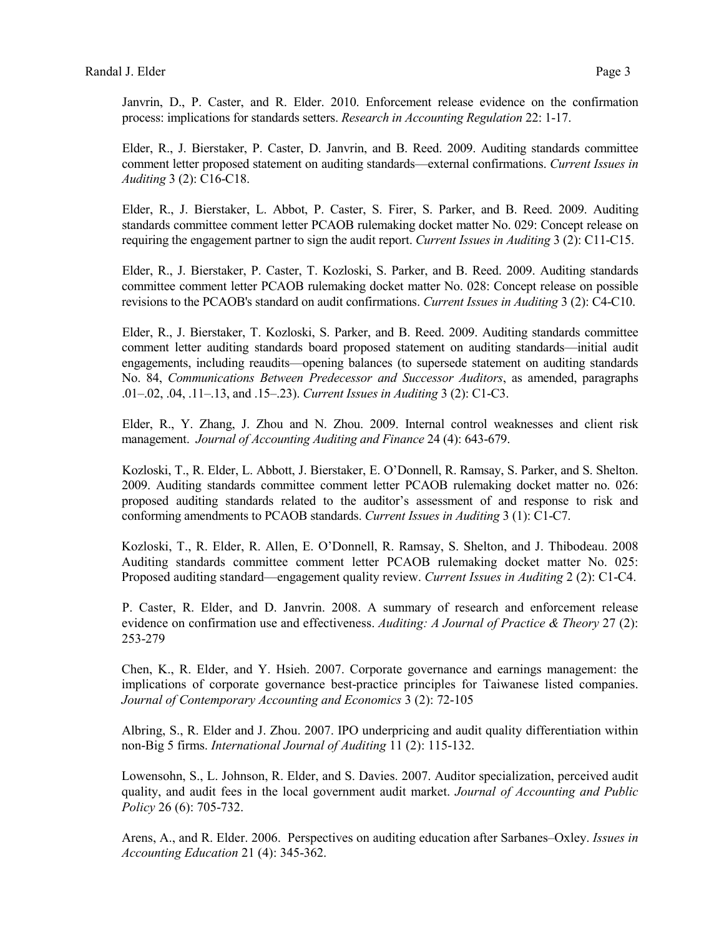Janvrin, D., P. Caster, and R. Elder. 2010. Enforcement release evidence on the confirmation process: implications for standards setters. *Research in Accounting Regulation* 22: 1-17.

Elder, R., J. Bierstaker, P. Caster, D. Janvrin, and B. Reed. 2009. Auditing standards committee comment letter proposed statement on auditing standards—external confirmations. *Current Issues in Auditing* 3 (2): C16-C18.

Elder, R., J. Bierstaker, L. Abbot, P. Caster, S. Firer, S. Parker, and B. Reed. 2009. Auditing standards committee comment letter PCAOB rulemaking docket matter No. 029: Concept release on requiring the engagement partner to sign the audit report. *Current Issues in Auditing* 3 (2): C11-C15.

Elder, R., J. Bierstaker, P. Caster, T. Kozloski, S. Parker, and B. Reed. 2009. Auditing standards committee comment letter PCAOB rulemaking docket matter No. 028: Concept release on possible revisions to the PCAOB's standard on audit confirmations. *Current Issues in Auditing* 3 (2): C4-C10.

Elder, R., J. Bierstaker, T. Kozloski, S. Parker, and B. Reed. 2009. Auditing standards committee comment letter auditing standards board proposed statement on auditing standards—initial audit engagements, including reaudits—opening balances (to supersede statement on auditing standards No. 84, *Communications Between Predecessor and Successor Auditors*, as amended, paragraphs .01–.02, .04, .11–.13, and .15–.23). *Current Issues in Auditing* 3 (2): C1-C3.

Elder, R., Y. Zhang, J. Zhou and N. Zhou. 2009. Internal control weaknesses and client risk management. *Journal of Accounting Auditing and Finance* 24 (4): 643-679.

Kozloski, T., R. Elder, L. Abbott, J. Bierstaker, E. O'Donnell, R. Ramsay, S. Parker, and S. Shelton. 2009. Auditing standards committee comment letter PCAOB rulemaking docket matter no. 026: proposed auditing standards related to the auditor's assessment of and response to risk and conforming amendments to PCAOB standards. *Current Issues in Auditing* 3 (1): C1-C7.

Kozloski, T., R. Elder, R. Allen, E. O'Donnell, R. Ramsay, S. Shelton, and J. Thibodeau. 2008 Auditing standards committee comment letter PCAOB rulemaking docket matter No. 025: Proposed auditing standard—engagement quality review. *Current Issues in Auditing* 2 (2): C1-C4.

P. Caster, R. Elder, and D. Janvrin. 2008. A summary of research and enforcement release evidence on confirmation use and effectiveness. *Auditing: A Journal of Practice & Theory* 27 (2): 253-279

Chen, K., R. Elder, and Y. Hsieh. 2007. Corporate governance and earnings management: the implications of corporate governance best-practice principles for Taiwanese listed companies. *Journal of Contemporary Accounting and Economics* 3 (2): 72-105

Albring, S., R. Elder and J. Zhou. 2007. IPO underpricing and audit quality differentiation within non-Big 5 firms. *International Journal of Auditing* 11 (2): 115-132.

Lowensohn, S., L. Johnson, R. Elder, and S. Davies. 2007. Auditor specialization, perceived audit quality, and audit fees in the local government audit market. *Journal of Accounting and Public Policy* 26 (6): 705-732.

Arens, A., and R. Elder. 2006. Perspectives on auditing education after Sarbanes–Oxley. *Issues in Accounting Education* 21 (4): 345-362.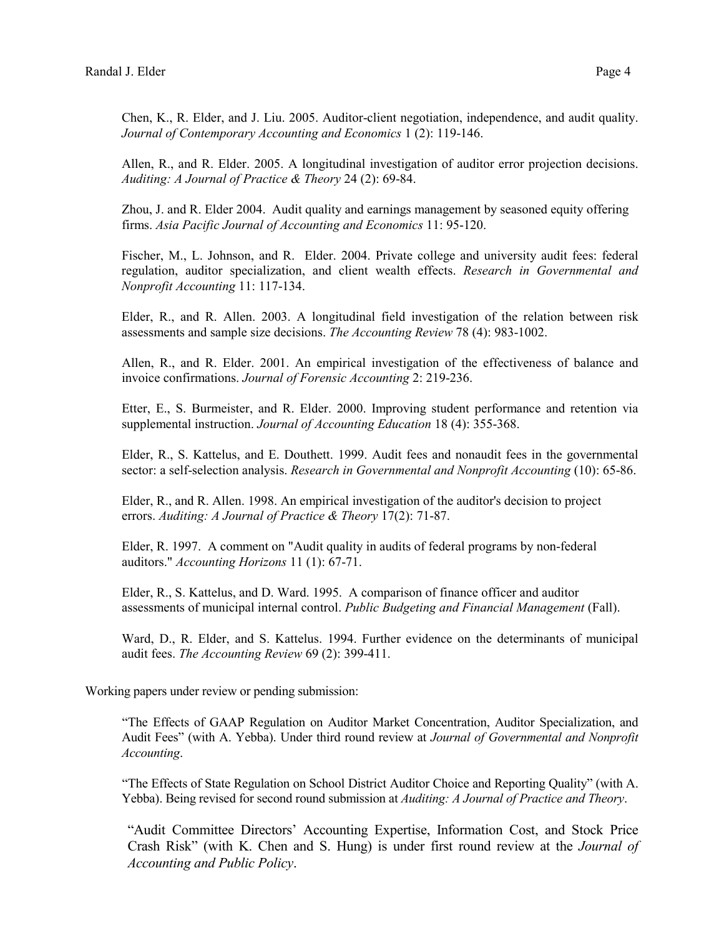Chen, K., R. Elder, and J. Liu. 2005. Auditor-client negotiation, independence, and audit quality. *Journal of Contemporary Accounting and Economics* 1 (2): 119-146.

Allen, R., and R. Elder. 2005. A longitudinal investigation of auditor error projection decisions. *Auditing: A Journal of Practice & Theory* 24 (2): 69-84.

Zhou, J. and R. Elder 2004. Audit quality and earnings management by seasoned equity offering firms. *Asia Pacific Journal of Accounting and Economics* 11: 95-120.

Fischer, M., L. Johnson, and R. Elder. 2004. Private college and university audit fees: federal regulation, auditor specialization, and client wealth effects. *Research in Governmental and Nonprofit Accounting* 11: 117-134.

Elder, R., and R. Allen. 2003. A longitudinal field investigation of the relation between risk assessments and sample size decisions. *The Accounting Review* 78 (4): 983-1002.

Allen, R., and R. Elder. 2001. An empirical investigation of the effectiveness of balance and invoice confirmations. *Journal of Forensic Accounting* 2: 219-236.

Etter, E., S. Burmeister, and R. Elder. 2000. Improving student performance and retention via supplemental instruction. *Journal of Accounting Education* 18 (4): 355-368.

Elder, R., S. Kattelus, and E. Douthett. 1999. Audit fees and nonaudit fees in the governmental sector: a self-selection analysis. *Research in Governmental and Nonprofit Accounting* (10): 65-86.

Elder, R., and R. Allen. 1998. An empirical investigation of the auditor's decision to project errors. *Auditing: A Journal of Practice & Theory* 17(2): 71-87.

Elder, R. 1997. A comment on "Audit quality in audits of federal programs by non-federal auditors." *Accounting Horizons* 11 (1): 67-71.

Elder, R., S. Kattelus, and D. Ward. 1995. A comparison of finance officer and auditor assessments of municipal internal control. *Public Budgeting and Financial Management* (Fall).

Ward, D., R. Elder, and S. Kattelus. 1994. Further evidence on the determinants of municipal audit fees. *The Accounting Review* 69 (2): 399-411.

Working papers under review or pending submission:

"The Effects of GAAP Regulation on Auditor Market Concentration, Auditor Specialization, and Audit Fees" (with A. Yebba). Under third round review at *Journal of Governmental and Nonprofit Accounting*.

"The Effects of State Regulation on School District Auditor Choice and Reporting Quality" (with A. Yebba). Being revised for second round submission at *Auditing: A Journal of Practice and Theory*.

"Audit Committee Directors' Accounting Expertise, Information Cost, and Stock Price Crash Risk" (with K. Chen and S. Hung) is under first round review at the *Journal of Accounting and Public Policy*.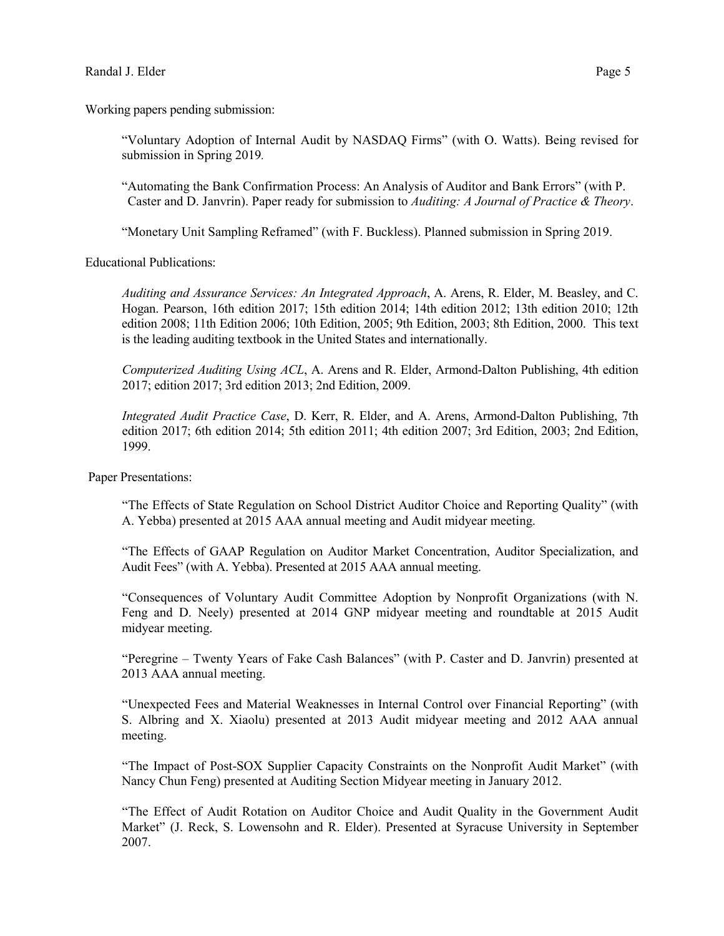Working papers pending submission:

"Voluntary Adoption of Internal Audit by NASDAQ Firms" (with O. Watts). Being revised for submission in Spring 2019*.*

"Automating the Bank Confirmation Process: An Analysis of Auditor and Bank Errors" (with P. Caster and D. Janvrin). Paper ready for submission to *Auditing: A Journal of Practice & Theory*.

"Monetary Unit Sampling Reframed" (with F. Buckless). Planned submission in Spring 2019.

Educational Publications:

*Auditing and Assurance Services: An Integrated Approach*, A. Arens, R. Elder, M. Beasley, and C. Hogan. Pearson, 16th edition 2017; 15th edition 2014; 14th edition 2012; 13th edition 2010; 12th edition 2008; 11th Edition 2006; 10th Edition, 2005; 9th Edition, 2003; 8th Edition, 2000. This text is the leading auditing textbook in the United States and internationally.

*Computerized Auditing Using ACL*, A. Arens and R. Elder, Armond-Dalton Publishing, 4th edition 2017; edition 2017; 3rd edition 2013; 2nd Edition, 2009.

*Integrated Audit Practice Case*, D. Kerr, R. Elder, and A. Arens, Armond-Dalton Publishing, 7th edition 2017; 6th edition 2014; 5th edition 2011; 4th edition 2007; 3rd Edition, 2003; 2nd Edition, 1999.

Paper Presentations:

"The Effects of State Regulation on School District Auditor Choice and Reporting Quality" (with A. Yebba) presented at 2015 AAA annual meeting and Audit midyear meeting.

"The Effects of GAAP Regulation on Auditor Market Concentration, Auditor Specialization, and Audit Fees" (with A. Yebba). Presented at 2015 AAA annual meeting.

"Consequences of Voluntary Audit Committee Adoption by Nonprofit Organizations (with N. Feng and D. Neely) presented at 2014 GNP midyear meeting and roundtable at 2015 Audit midyear meeting.

"Peregrine – Twenty Years of Fake Cash Balances" (with P. Caster and D. Janvrin) presented at 2013 AAA annual meeting.

"Unexpected Fees and Material Weaknesses in Internal Control over Financial Reporting" (with S. Albring and X. Xiaolu) presented at 2013 Audit midyear meeting and 2012 AAA annual meeting.

"The Impact of Post-SOX Supplier Capacity Constraints on the Nonprofit Audit Market" (with Nancy Chun Feng) presented at Auditing Section Midyear meeting in January 2012.

"The Effect of Audit Rotation on Auditor Choice and Audit Quality in the Government Audit Market" (J. Reck, S. Lowensohn and R. Elder). Presented at Syracuse University in September 2007.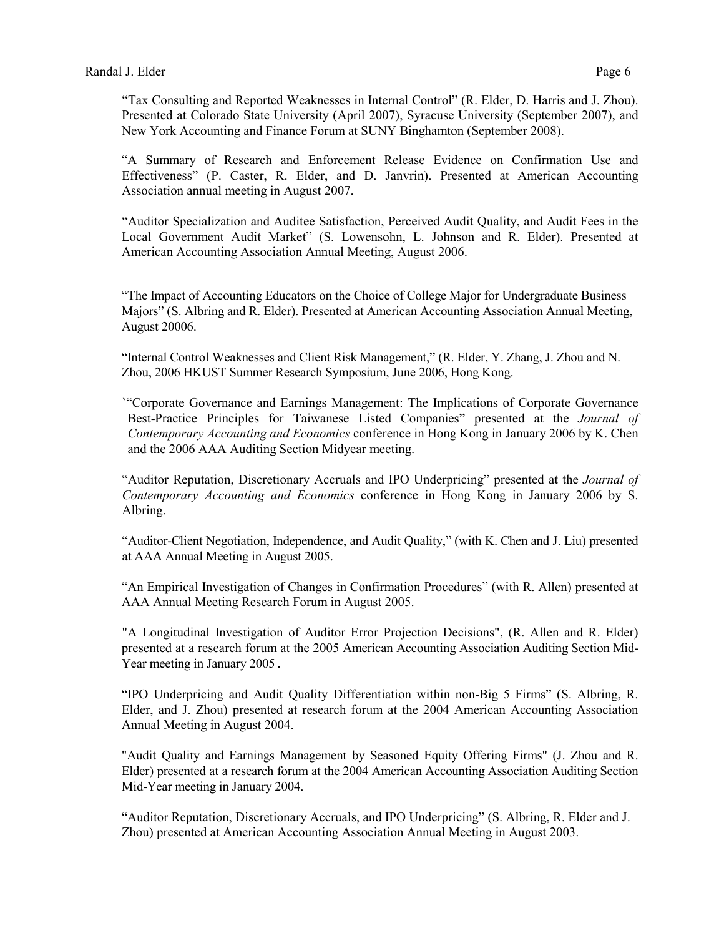"Tax Consulting and Reported Weaknesses in Internal Control" (R. Elder, D. Harris and J. Zhou). Presented at Colorado State University (April 2007), Syracuse University (September 2007), and New York Accounting and Finance Forum at SUNY Binghamton (September 2008).

"A Summary of Research and Enforcement Release Evidence on Confirmation Use and Effectiveness" (P. Caster, R. Elder, and D. Janvrin). Presented at American Accounting Association annual meeting in August 2007.

"Auditor Specialization and Auditee Satisfaction, Perceived Audit Quality, and Audit Fees in the Local Government Audit Market" (S. Lowensohn, L. Johnson and R. Elder). Presented at American Accounting Association Annual Meeting, August 2006.

"The Impact of Accounting Educators on the Choice of College Major for Undergraduate Business Majors" (S. Albring and R. Elder). Presented at American Accounting Association Annual Meeting, August 20006.

"Internal Control Weaknesses and Client Risk Management," (R. Elder, Y. Zhang, J. Zhou and N. Zhou, 2006 HKUST Summer Research Symposium, June 2006, Hong Kong.

`"Corporate Governance and Earnings Management: The Implications of Corporate Governance Best-Practice Principles for Taiwanese Listed Companies" presented at the *Journal of Contemporary Accounting and Economics* conference in Hong Kong in January 2006 by K. Chen and the 2006 AAA Auditing Section Midyear meeting.

"Auditor Reputation, Discretionary Accruals and IPO Underpricing" presented at the *Journal of Contemporary Accounting and Economics* conference in Hong Kong in January 2006 by S. Albring.

"Auditor-Client Negotiation, Independence, and Audit Quality," (with K. Chen and J. Liu) presented at AAA Annual Meeting in August 2005.

"An Empirical Investigation of Changes in Confirmation Procedures" (with R. Allen) presented at AAA Annual Meeting Research Forum in August 2005.

"A Longitudinal Investigation of Auditor Error Projection Decisions", (R. Allen and R. Elder) presented at a research forum at the 2005 American Accounting Association Auditing Section Mid-Year meeting in January 2005.

"IPO Underpricing and Audit Quality Differentiation within non-Big 5 Firms" (S. Albring, R. Elder, and J. Zhou) presented at research forum at the 2004 American Accounting Association Annual Meeting in August 2004.

"Audit Quality and Earnings Management by Seasoned Equity Offering Firms" (J. Zhou and R. Elder) presented at a research forum at the 2004 American Accounting Association Auditing Section Mid-Year meeting in January 2004.

"Auditor Reputation, Discretionary Accruals, and IPO Underpricing" (S. Albring, R. Elder and J. Zhou) presented at American Accounting Association Annual Meeting in August 2003.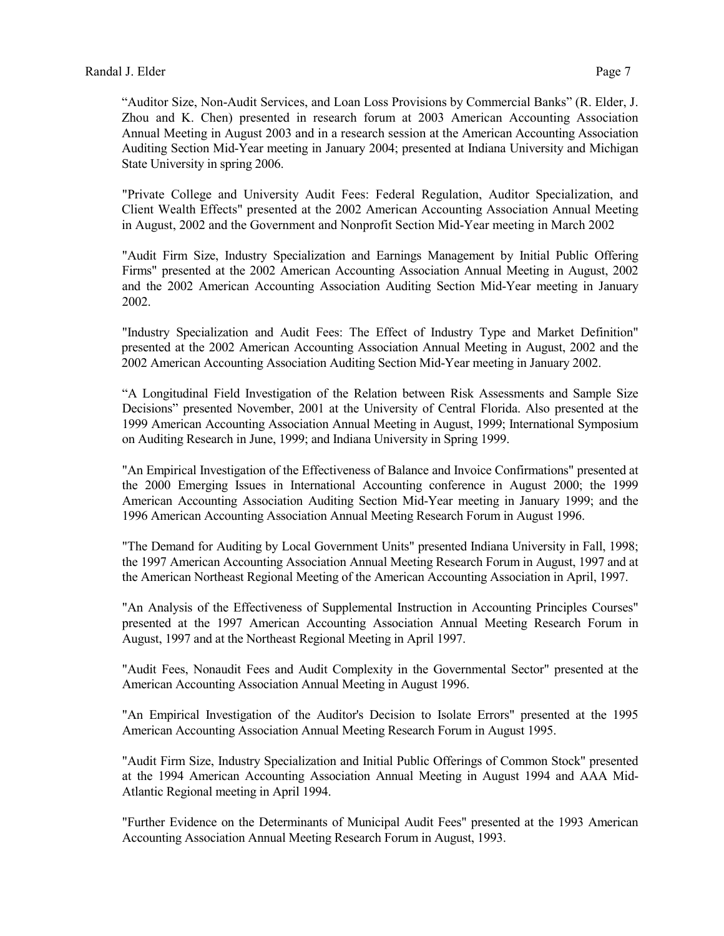"Auditor Size, Non-Audit Services, and Loan Loss Provisions by Commercial Banks" (R. Elder, J. Zhou and K. Chen) presented in research forum at 2003 American Accounting Association Annual Meeting in August 2003 and in a research session at the American Accounting Association Auditing Section Mid-Year meeting in January 2004; presented at Indiana University and Michigan State University in spring 2006.

"Private College and University Audit Fees: Federal Regulation, Auditor Specialization, and Client Wealth Effects" presented at the 2002 American Accounting Association Annual Meeting in August, 2002 and the Government and Nonprofit Section Mid-Year meeting in March 2002

"Audit Firm Size, Industry Specialization and Earnings Management by Initial Public Offering Firms" presented at the 2002 American Accounting Association Annual Meeting in August, 2002 and the 2002 American Accounting Association Auditing Section Mid-Year meeting in January 2002.

"Industry Specialization and Audit Fees: The Effect of Industry Type and Market Definition" presented at the 2002 American Accounting Association Annual Meeting in August, 2002 and the 2002 American Accounting Association Auditing Section Mid-Year meeting in January 2002.

"A Longitudinal Field Investigation of the Relation between Risk Assessments and Sample Size Decisions" presented November, 2001 at the University of Central Florida. Also presented at the 1999 American Accounting Association Annual Meeting in August, 1999; International Symposium on Auditing Research in June, 1999; and Indiana University in Spring 1999.

"An Empirical Investigation of the Effectiveness of Balance and Invoice Confirmations" presented at the 2000 Emerging Issues in International Accounting conference in August 2000; the 1999 American Accounting Association Auditing Section Mid-Year meeting in January 1999; and the 1996 American Accounting Association Annual Meeting Research Forum in August 1996.

"The Demand for Auditing by Local Government Units" presented Indiana University in Fall, 1998; the 1997 American Accounting Association Annual Meeting Research Forum in August, 1997 and at the American Northeast Regional Meeting of the American Accounting Association in April, 1997.

"An Analysis of the Effectiveness of Supplemental Instruction in Accounting Principles Courses" presented at the 1997 American Accounting Association Annual Meeting Research Forum in August, 1997 and at the Northeast Regional Meeting in April 1997.

"Audit Fees, Nonaudit Fees and Audit Complexity in the Governmental Sector" presented at the American Accounting Association Annual Meeting in August 1996.

"An Empirical Investigation of the Auditor's Decision to Isolate Errors" presented at the 1995 American Accounting Association Annual Meeting Research Forum in August 1995.

"Audit Firm Size, Industry Specialization and Initial Public Offerings of Common Stock" presented at the 1994 American Accounting Association Annual Meeting in August 1994 and AAA Mid-Atlantic Regional meeting in April 1994.

"Further Evidence on the Determinants of Municipal Audit Fees" presented at the 1993 American Accounting Association Annual Meeting Research Forum in August, 1993.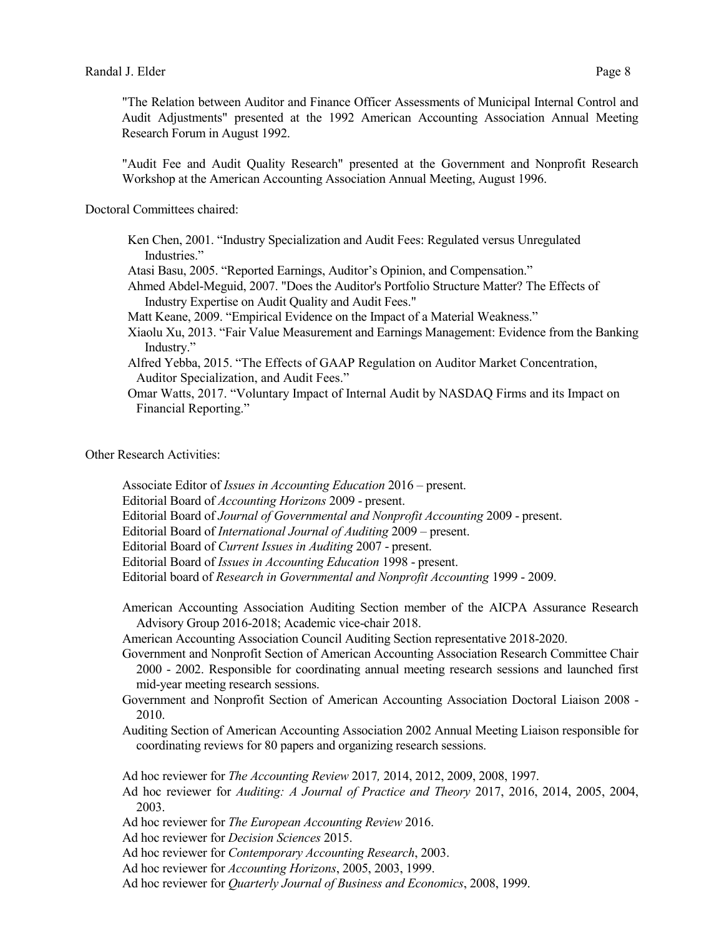"Audit Fee and Audit Quality Research" presented at the Government and Nonprofit Research Workshop at the American Accounting Association Annual Meeting, August 1996.

Doctoral Committees chaired:

- Ken Chen, 2001. "Industry Specialization and Audit Fees: Regulated versus Unregulated Industries."
- Atasi Basu, 2005. "Reported Earnings, Auditor's Opinion, and Compensation."
- Ahmed Abdel-Meguid, 2007. "Does the Auditor's Portfolio Structure Matter? The Effects of Industry Expertise on Audit Quality and Audit Fees."
- Matt Keane, 2009. "Empirical Evidence on the Impact of a Material Weakness."
- Xiaolu Xu, 2013. "Fair Value Measurement and Earnings Management: Evidence from the Banking Industry."
- Alfred Yebba, 2015. "The Effects of GAAP Regulation on Auditor Market Concentration, Auditor Specialization, and Audit Fees."
- Omar Watts, 2017. "Voluntary Impact of Internal Audit by NASDAQ Firms and its Impact on Financial Reporting."

Other Research Activities:

- Associate Editor of *Issues in Accounting Education* 2016 present.
- Editorial Board of *Accounting Horizons* 2009 present.
- Editorial Board of *Journal of Governmental and Nonprofit Accounting* 2009 present.
- Editorial Board of *International Journal of Auditing* 2009 present.
- Editorial Board of *Current Issues in Auditing* 2007 present.
- Editorial Board of *Issues in Accounting Education* 1998 present.
- Editorial board of *Research in Governmental and Nonprofit Accounting* 1999 2009.
- American Accounting Association Auditing Section member of the AICPA Assurance Research Advisory Group 2016-2018; Academic vice-chair 2018.

American Accounting Association Council Auditing Section representative 2018-2020.

- Government and Nonprofit Section of American Accounting Association Research Committee Chair 2000 - 2002. Responsible for coordinating annual meeting research sessions and launched first mid-year meeting research sessions.
- Government and Nonprofit Section of American Accounting Association Doctoral Liaison 2008 2010.
- Auditing Section of American Accounting Association 2002 Annual Meeting Liaison responsible for coordinating reviews for 80 papers and organizing research sessions.

Ad hoc reviewer for *The Accounting Review* 2017*,* 2014, 2012, 2009, 2008, 1997.

- Ad hoc reviewer for *Auditing: A Journal of Practice and Theory* 2017, 2016, 2014, 2005, 2004, 2003.
- Ad hoc reviewer for *The European Accounting Review* 2016.

Ad hoc reviewer for *Decision Sciences* 2015.

Ad hoc reviewer for *Contemporary Accounting Research*, 2003.

Ad hoc reviewer for *Accounting Horizons*, 2005, 2003, 1999.

Ad hoc reviewer for *Quarterly Journal of Business and Economics*, 2008, 1999.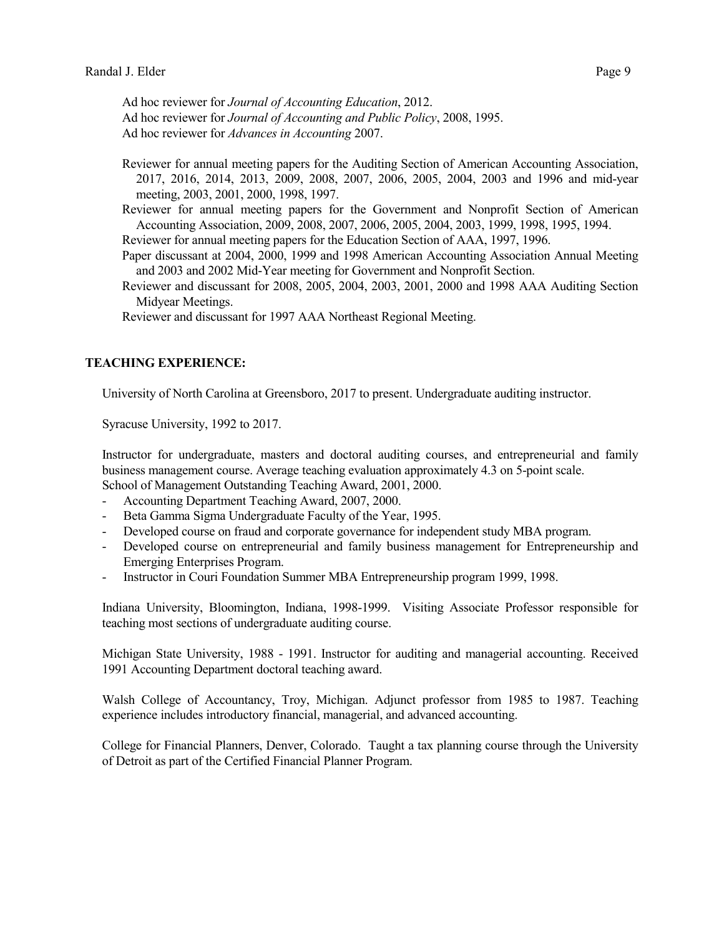Ad hoc reviewer for *Journal of Accounting Education*, 2012. Ad hoc reviewer for *Journal of Accounting and Public Policy*, 2008, 1995. Ad hoc reviewer for *Advances in Accounting* 2007.

Reviewer for annual meeting papers for the Auditing Section of American Accounting Association, 2017, 2016, 2014, 2013, 2009, 2008, 2007, 2006, 2005, 2004, 2003 and 1996 and mid-year meeting, 2003, 2001, 2000, 1998, 1997.

Reviewer for annual meeting papers for the Government and Nonprofit Section of American Accounting Association, 2009, 2008, 2007, 2006, 2005, 2004, 2003, 1999, 1998, 1995, 1994.

Reviewer for annual meeting papers for the Education Section of AAA, 1997, 1996.

- Paper discussant at 2004, 2000, 1999 and 1998 American Accounting Association Annual Meeting and 2003 and 2002 Mid-Year meeting for Government and Nonprofit Section.
- Reviewer and discussant for 2008, 2005, 2004, 2003, 2001, 2000 and 1998 AAA Auditing Section Midyear Meetings.

Reviewer and discussant for 1997 AAA Northeast Regional Meeting.

# **TEACHING EXPERIENCE:**

University of North Carolina at Greensboro, 2017 to present. Undergraduate auditing instructor.

Syracuse University, 1992 to 2017.

Instructor for undergraduate, masters and doctoral auditing courses, and entrepreneurial and family business management course. Average teaching evaluation approximately 4.3 on 5-point scale. School of Management Outstanding Teaching Award, 2001, 2000.

- Accounting Department Teaching Award, 2007, 2000.
- Beta Gamma Sigma Undergraduate Faculty of the Year, 1995.
- Developed course on fraud and corporate governance for independent study MBA program.
- Developed course on entrepreneurial and family business management for Entrepreneurship and Emerging Enterprises Program.
- Instructor in Couri Foundation Summer MBA Entrepreneurship program 1999, 1998.

Indiana University, Bloomington, Indiana, 1998-1999. Visiting Associate Professor responsible for teaching most sections of undergraduate auditing course.

Michigan State University, 1988 - 1991. Instructor for auditing and managerial accounting. Received 1991 Accounting Department doctoral teaching award.

Walsh College of Accountancy, Troy, Michigan. Adjunct professor from 1985 to 1987. Teaching experience includes introductory financial, managerial, and advanced accounting.

College for Financial Planners, Denver, Colorado. Taught a tax planning course through the University of Detroit as part of the Certified Financial Planner Program.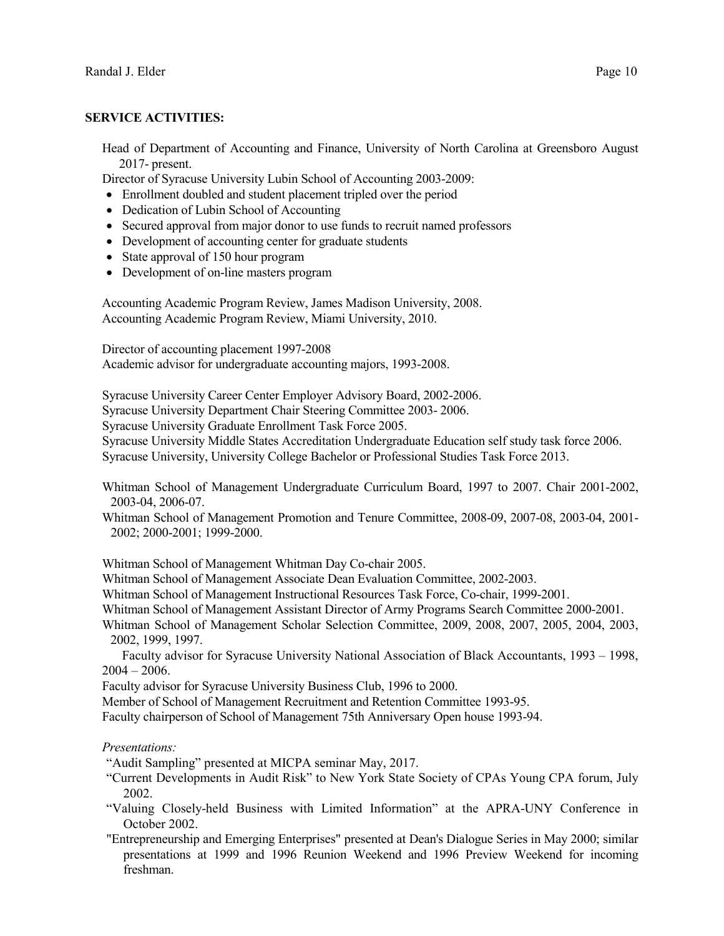# **SERVICE ACTIVITIES:**

Head of Department of Accounting and Finance, University of North Carolina at Greensboro August 2017- present.

Director of Syracuse University Lubin School of Accounting 2003-2009:

- Enrollment doubled and student placement tripled over the period
- Dedication of Lubin School of Accounting
- Secured approval from major donor to use funds to recruit named professors
- Development of accounting center for graduate students
- State approval of 150 hour program
- Development of on-line masters program

Accounting Academic Program Review, James Madison University, 2008. Accounting Academic Program Review, Miami University, 2010.

Director of accounting placement 1997-2008 Academic advisor for undergraduate accounting majors, 1993-2008.

Syracuse University Career Center Employer Advisory Board, 2002-2006. Syracuse University Department Chair Steering Committee 2003- 2006. Syracuse University Graduate Enrollment Task Force 2005. Syracuse University Middle States Accreditation Undergraduate Education self study task force 2006. Syracuse University, University College Bachelor or Professional Studies Task Force 2013.

Whitman School of Management Undergraduate Curriculum Board, 1997 to 2007. Chair 2001-2002, 2003-04, 2006-07.

Whitman School of Management Promotion and Tenure Committee, 2008-09, 2007-08, 2003-04, 2001- 2002; 2000-2001; 1999-2000.

Whitman School of Management Whitman Day Co-chair 2005.

Whitman School of Management Associate Dean Evaluation Committee, 2002-2003.

Whitman School of Management Instructional Resources Task Force, Co-chair, 1999-2001.

Whitman School of Management Assistant Director of Army Programs Search Committee 2000-2001.

Whitman School of Management Scholar Selection Committee, 2009, 2008, 2007, 2005, 2004, 2003, 2002, 1999, 1997.

Faculty advisor for Syracuse University National Association of Black Accountants, 1993 – 1998,  $2004 - 2006$ .

Faculty advisor for Syracuse University Business Club, 1996 to 2000.

Member of School of Management Recruitment and Retention Committee 1993-95.

Faculty chairperson of School of Management 75th Anniversary Open house 1993-94.

## *Presentations:*

"Audit Sampling" presented at MICPA seminar May, 2017.

- "Current Developments in Audit Risk" to New York State Society of CPAs Young CPA forum, July 2002.
- "Valuing Closely-held Business with Limited Information" at the APRA-UNY Conference in October 2002.
- "Entrepreneurship and Emerging Enterprises" presented at Dean's Dialogue Series in May 2000; similar presentations at 1999 and 1996 Reunion Weekend and 1996 Preview Weekend for incoming freshman.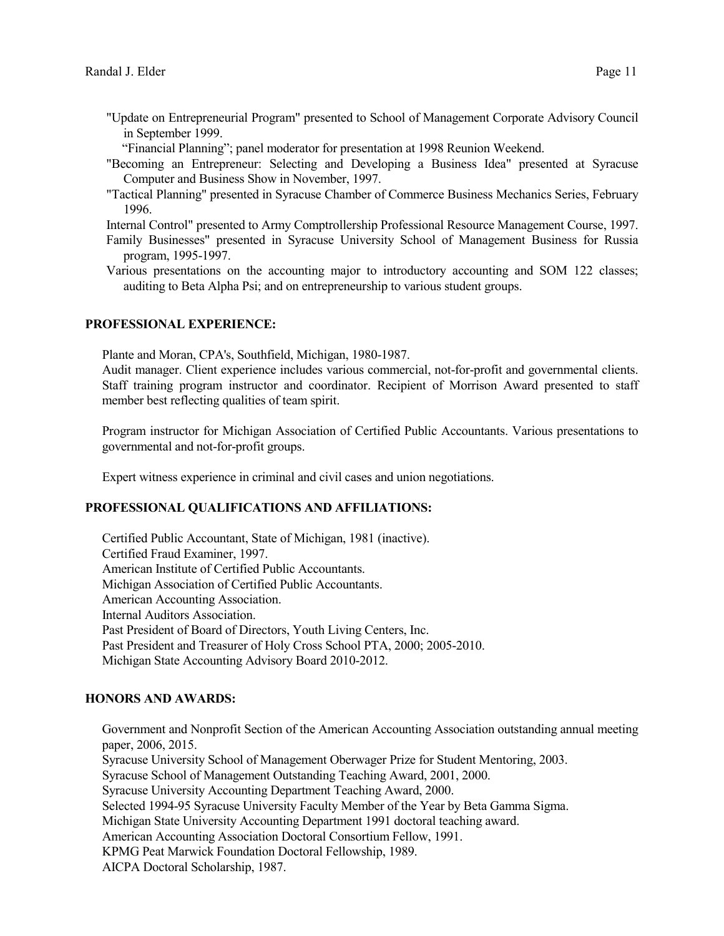- "Update on Entrepreneurial Program" presented to School of Management Corporate Advisory Council in September 1999.
	- "Financial Planning"; panel moderator for presentation at 1998 Reunion Weekend.
- "Becoming an Entrepreneur: Selecting and Developing a Business Idea" presented at Syracuse Computer and Business Show in November, 1997.
- "Tactical Planning" presented in Syracuse Chamber of Commerce Business Mechanics Series, February 1996.

Internal Control" presented to Army Comptrollership Professional Resource Management Course, 1997.

- Family Businesses" presented in Syracuse University School of Management Business for Russia program, 1995-1997.
- Various presentations on the accounting major to introductory accounting and SOM 122 classes; auditing to Beta Alpha Psi; and on entrepreneurship to various student groups.

## **PROFESSIONAL EXPERIENCE:**

Plante and Moran, CPA's, Southfield, Michigan, 1980-1987.

Audit manager. Client experience includes various commercial, not-for-profit and governmental clients. Staff training program instructor and coordinator. Recipient of Morrison Award presented to staff member best reflecting qualities of team spirit.

Program instructor for Michigan Association of Certified Public Accountants. Various presentations to governmental and not-for-profit groups.

Expert witness experience in criminal and civil cases and union negotiations.

### **PROFESSIONAL QUALIFICATIONS AND AFFILIATIONS:**

Certified Public Accountant, State of Michigan, 1981 (inactive). Certified Fraud Examiner, 1997. American Institute of Certified Public Accountants. Michigan Association of Certified Public Accountants. American Accounting Association. Internal Auditors Association. Past President of Board of Directors, Youth Living Centers, Inc. Past President and Treasurer of Holy Cross School PTA, 2000; 2005-2010. Michigan State Accounting Advisory Board 2010-2012.

### **HONORS AND AWARDS:**

Government and Nonprofit Section of the American Accounting Association outstanding annual meeting paper, 2006, 2015. Syracuse University School of Management Oberwager Prize for Student Mentoring, 2003. Syracuse School of Management Outstanding Teaching Award, 2001, 2000. Syracuse University Accounting Department Teaching Award, 2000. Selected 1994-95 Syracuse University Faculty Member of the Year by Beta Gamma Sigma. Michigan State University Accounting Department 1991 doctoral teaching award. American Accounting Association Doctoral Consortium Fellow, 1991. KPMG Peat Marwick Foundation Doctoral Fellowship, 1989. AICPA Doctoral Scholarship, 1987.